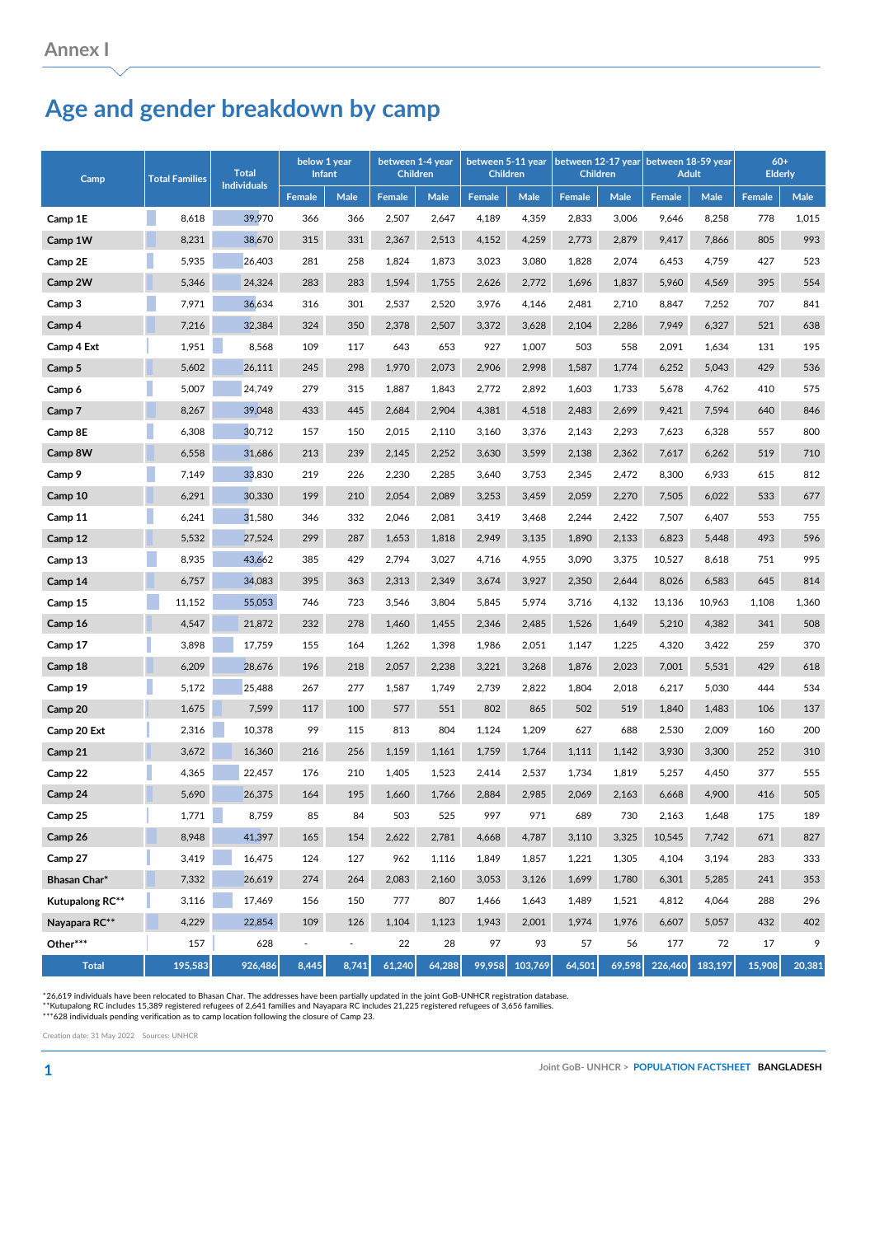## **Age and gender breakdown by camp**

| Camp            | <b>Total Families</b> | <b>Total</b><br><b>Individuals</b> | below 1 year<br><b>Infant</b> |                | between 1-4 year<br><b>Children</b> |        | between 5-11 year<br><b>Children</b> |         | between 12-17 year<br><b>Children</b> |             | between 18-59 year<br><b>Adult</b> |         | $60+$<br><b>Elderly</b> |        |
|-----------------|-----------------------|------------------------------------|-------------------------------|----------------|-------------------------------------|--------|--------------------------------------|---------|---------------------------------------|-------------|------------------------------------|---------|-------------------------|--------|
|                 |                       |                                    | <b>Female</b>                 | Male           | Female                              | Male   | Female                               | Male    | <b>Female</b>                         | <b>Male</b> | Female                             | Male    | Female                  | Male   |
| Camp 1E         | 8,618                 | 39,970                             | 366                           | 366            | 2,507                               | 2,647  | 4,189                                | 4,359   | 2,833                                 | 3,006       | 9,646                              | 8,258   | 778                     | 1,015  |
| Camp 1W         | 8,231                 | 38,670                             | 315                           | 331            | 2,367                               | 2,513  | 4,152                                | 4,259   | 2,773                                 | 2,879       | 9,417                              | 7,866   | 805                     | 993    |
| Camp 2E         | 5,935                 | 26,403                             | 281                           | 258            | 1,824                               | 1,873  | 3,023                                | 3,080   | 1,828                                 | 2,074       | 6,453                              | 4,759   | 427                     | 523    |
| Camp 2W         | 5,346                 | 24,324                             | 283                           | 283            | 1,594                               | 1,755  | 2,626                                | 2,772   | 1,696                                 | 1,837       | 5,960                              | 4,569   | 395                     | 554    |
| Camp 3          | 7,971                 | 36,634                             | 316                           | 301            | 2,537                               | 2,520  | 3,976                                | 4,146   | 2,481                                 | 2,710       | 8,847                              | 7,252   | 707                     | 841    |
| Camp 4          | 7,216                 | 32,384                             | 324                           | 350            | 2,378                               | 2,507  | 3,372                                | 3,628   | 2,104                                 | 2,286       | 7,949                              | 6,327   | 521                     | 638    |
| Camp 4 Ext      | 1,951                 | 8,568                              | 109                           | 117            | 643                                 | 653    | 927                                  | 1,007   | 503                                   | 558         | 2,091                              | 1,634   | 131                     | 195    |
| Camp 5          | 5,602                 | 26,111                             | 245                           | 298            | 1,970                               | 2,073  | 2,906                                | 2,998   | 1,587                                 | 1,774       | 6,252                              | 5,043   | 429                     | 536    |
| Camp 6          | 5,007                 | 24,749                             | 279                           | 315            | 1,887                               | 1,843  | 2,772                                | 2,892   | 1,603                                 | 1,733       | 5,678                              | 4,762   | 410                     | 575    |
| Camp 7          | 8,267                 | 39,048                             | 433                           | 445            | 2,684                               | 2,904  | 4,381                                | 4,518   | 2,483                                 | 2,699       | 9,421                              | 7,594   | 640                     | 846    |
| Camp 8E         | 6,308                 | 30,712                             | 157                           | 150            | 2,015                               | 2,110  | 3,160                                | 3,376   | 2,143                                 | 2,293       | 7,623                              | 6,328   | 557                     | 800    |
| Camp 8W         | 6,558                 | 31,686                             | 213                           | 239            | 2,145                               | 2,252  | 3,630                                | 3,599   | 2,138                                 | 2,362       | 7,617                              | 6,262   | 519                     | 710    |
| Camp 9          | 7,149                 | 33,830                             | 219                           | 226            | 2,230                               | 2,285  | 3,640                                | 3,753   | 2,345                                 | 2,472       | 8,300                              | 6,933   | 615                     | 812    |
| Camp 10         | 6,291                 | 30,330                             | 199                           | 210            | 2,054                               | 2,089  | 3,253                                | 3,459   | 2,059                                 | 2,270       | 7,505                              | 6,022   | 533                     | 677    |
| Camp 11         | 6,241                 | 31,580                             | 346                           | 332            | 2,046                               | 2,081  | 3,419                                | 3,468   | 2,244                                 | 2,422       | 7,507                              | 6,407   | 553                     | 755    |
| Camp 12         | 5,532                 | 27,524                             | 299                           | 287            | 1,653                               | 1,818  | 2,949                                | 3,135   | 1,890                                 | 2,133       | 6,823                              | 5,448   | 493                     | 596    |
| Camp 13         | 8,935                 | 43,662                             | 385                           | 429            | 2,794                               | 3,027  | 4,716                                | 4,955   | 3,090                                 | 3,375       | 10,527                             | 8,618   | 751                     | 995    |
| Camp 14         | 6,757                 | 34,083                             | 395                           | 363            | 2,313                               | 2,349  | 3,674                                | 3,927   | 2,350                                 | 2,644       | 8,026                              | 6,583   | 645                     | 814    |
| Camp 15         | 11,152                | 55,053                             | 746                           | 723            | 3,546                               | 3,804  | 5,845                                | 5,974   | 3,716                                 | 4,132       | 13,136                             | 10,963  | 1,108                   | 1,360  |
| Camp 16         | 4,547                 | 21,872                             | 232                           | 278            | 1,460                               | 1,455  | 2,346                                | 2,485   | 1,526                                 | 1,649       | 5,210                              | 4,382   | 341                     | 508    |
| Camp 17         | 3,898                 | 17,759                             | 155                           | 164            | 1,262                               | 1,398  | 1,986                                | 2,051   | 1,147                                 | 1,225       | 4,320                              | 3,422   | 259                     | 370    |
| Camp 18         | 6,209                 | 28,676                             | 196                           | 218            | 2,057                               | 2,238  | 3,221                                | 3,268   | 1,876                                 | 2,023       | 7,001                              | 5,531   | 429                     | 618    |
| Camp 19         | 5,172                 | 25,488                             | 267                           | 277            | 1,587                               | 1,749  | 2,739                                | 2,822   | 1,804                                 | 2,018       | 6,217                              | 5,030   | 444                     | 534    |
| Camp 20         | 1,675                 | 7,599                              | 117                           | 100            | 577                                 | 551    | 802                                  | 865     | 502                                   | 519         | 1,840                              | 1,483   | 106                     | 137    |
| Camp 20 Ext     | 2,316                 | 10,378                             | 99                            | 115            | 813                                 | 804    | 1,124                                | 1,209   | 627                                   | 688         | 2,530                              | 2,009   | 160                     | 200    |
| Camp 21         | 3,672                 | 16,360                             | 216                           | 256            | 1,159                               | 1,161  | 1,759                                | 1,764   | 1,111                                 | 1,142       | 3,930                              | 3,300   | 252                     | 310    |
| Camp 22         | 4,365                 | 22,457                             | 176                           | 210            | 1,405                               | 1,523  | 2,414                                | 2,537   | 1,734                                 | 1,819       | 5,257                              | 4,450   | 377                     | 555    |
| Camp 24         | 5,690                 | 26,375                             | 164                           | 195            | 1,660                               | 1,766  | 2,884                                | 2,985   | 2,069                                 | 2,163       | 6,668                              | 4,900   | 416                     | 505    |
| Camp 25         | 1,771                 | 8,759                              | 85                            | 84             | 503                                 | 525    | 997                                  | 971     | 689                                   | 730         | 2,163                              | 1,648   | 175                     | 189    |
| Camp 26         | 8,948                 | 41,397                             | 165                           | 154            | 2,622                               | 2,781  | 4,668                                | 4,787   | 3,110                                 | 3,325       | 10,545                             | 7,742   | 671                     | 827    |
| Camp 27         | 3,419                 | 16,475                             | 124                           | 127            | 962                                 | 1,116  | 1,849                                | 1,857   | 1,221                                 | 1,305       | 4,104                              | 3,194   | 283                     | 333    |
| Bhasan Char*    | 7,332                 | 26,619                             | 274                           | 264            | 2,083                               | 2,160  | 3,053                                | 3,126   | 1,699                                 | 1,780       | 6,301                              | 5,285   | 241                     | 353    |
| Kutupalong RC** | 3,116                 | 17,469                             | 156                           | 150            | 777                                 | 807    | 1,466                                | 1,643   | 1,489                                 | 1,521       | 4,812                              | 4,064   | 288                     | 296    |
| Nayapara RC**   | 4,229                 | 22,854                             | 109                           | 126            | 1,104                               | 1,123  | 1,943                                | 2,001   | 1,974                                 | 1,976       | 6,607                              | 5,057   | 432                     | 402    |
| Other***        | 157                   | 628                                | $\blacksquare$                | $\blacksquare$ | 22                                  | 28     | 97                                   | 93      | 57                                    | 56          | 177                                | 72      | 17                      | 9      |
| <b>Total</b>    | 195,583               | 926,486                            | 8,445                         | 8,741          | 61,240                              | 64,288 | 99,958                               | 103,769 | 64,501                                | 69,598      | 226,460                            | 183,197 | 15,908                  | 20,381 |

\*26,619 individuals have been relocated to Bhasan Char. The addresses have been partially updated in the joint GoB-UNHCR registration database.<br>\*\*Kutupalong RC includes 15,389 registered refugees of 2,641 families and Naya

Creation date: 31 May 2022 Sources: UNHCR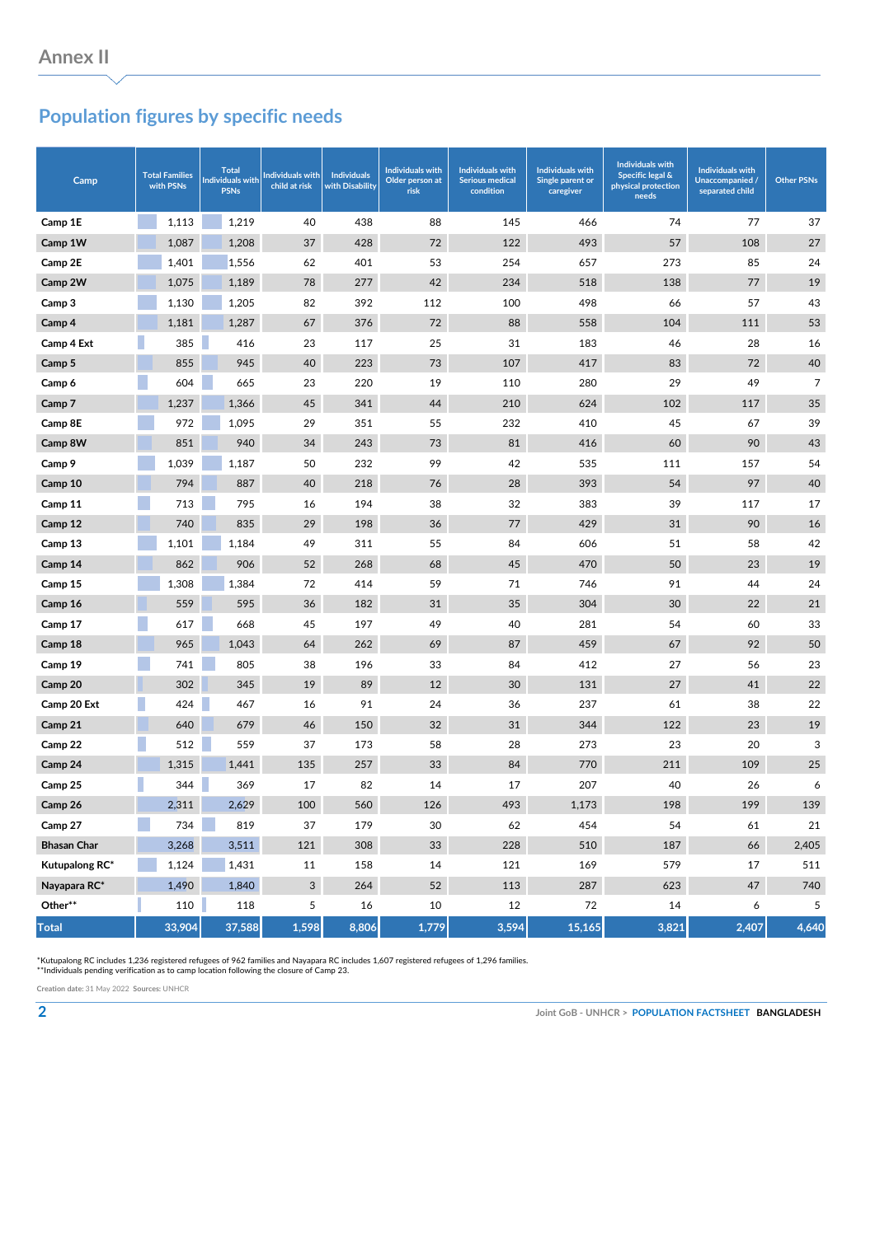## **Population figures by specific needs**

| Camp               | <b>Total Families</b><br>with PSNs | <b>Total</b><br><b>Individuals with</b><br><b>PSNs</b> | <b>Individuals with</b><br>child at risk | <b>Individuals</b><br>with Disability | <b>Individuals with</b><br>Older person at<br>risk | <b>Individuals with</b><br><b>Serious medical</b><br>condition | <b>Individuals with</b><br>Single parent or<br>caregiver | <b>Individuals with</b><br><b>Specific legal &amp;</b><br>physical protection<br>needs | <b>Individuals with</b><br>Unaccompanied /<br>separated child | <b>Other PSNs</b> |
|--------------------|------------------------------------|--------------------------------------------------------|------------------------------------------|---------------------------------------|----------------------------------------------------|----------------------------------------------------------------|----------------------------------------------------------|----------------------------------------------------------------------------------------|---------------------------------------------------------------|-------------------|
| Camp 1E            | 1,113                              | 1,219                                                  | 40                                       | 438                                   | 88                                                 | 145                                                            | 466                                                      | 74                                                                                     | 77                                                            | 37                |
| Camp 1W            | 1,087                              | 1,208                                                  | 37                                       | 428                                   | 72                                                 | 122                                                            | 493                                                      | 57                                                                                     | 108                                                           | 27                |
| Camp 2E            | 1,401                              | 1,556                                                  | 62                                       | 401                                   | 53                                                 | 254                                                            | 657                                                      | 273                                                                                    | 85                                                            | 24                |
| Camp 2W            | 1,075                              | 1,189                                                  | 78                                       | 277                                   | 42                                                 | 234                                                            | 518                                                      | 138                                                                                    | 77                                                            | 19                |
| Camp 3             | 1,130                              | 1,205                                                  | 82                                       | 392                                   | 112                                                | 100                                                            | 498                                                      | 66                                                                                     | 57                                                            | 43                |
| Camp 4             | 1,181                              | 1,287                                                  | 67                                       | 376                                   | 72                                                 | 88                                                             | 558                                                      | 104                                                                                    | 111                                                           | 53                |
| Camp 4 Ext         | 385                                | 416                                                    | 23                                       | 117                                   | 25                                                 | 31                                                             | 183                                                      | 46                                                                                     | 28                                                            | 16                |
| Camp 5             | 855                                | 945                                                    | 40                                       | 223                                   | 73                                                 | 107                                                            | 417                                                      | 83                                                                                     | 72                                                            | 40                |
| Camp 6             | 604                                | 665                                                    | 23                                       | 220                                   | 19                                                 | 110                                                            | 280                                                      | 29                                                                                     | 49                                                            | $\overline{7}$    |
| Camp 7             | 1,237                              | 1,366                                                  | 45                                       | 341                                   | 44                                                 | 210                                                            | 624                                                      | 102                                                                                    | 117                                                           | 35                |
| Camp 8E            | 972                                | 1,095                                                  | 29                                       | 351                                   | 55                                                 | 232                                                            | 410                                                      | 45                                                                                     | 67                                                            | 39                |
| Camp 8W            | 851                                | 940                                                    | 34                                       | 243                                   | 73                                                 | 81                                                             | 416                                                      | 60                                                                                     | 90                                                            | 43                |
| Camp 9             | 1,039                              | 1,187                                                  | 50                                       | 232                                   | 99                                                 | 42                                                             | 535                                                      | 111                                                                                    | 157                                                           | 54                |
| Camp 10            | 794                                | 887                                                    | 40                                       | 218                                   | 76                                                 | 28                                                             | 393                                                      | 54                                                                                     | 97                                                            | 40                |
| Camp 11            | 713                                | 795                                                    | 16                                       | 194                                   | 38                                                 | 32                                                             | 383                                                      | 39                                                                                     | 117                                                           | 17                |
| Camp 12            | 740                                | 835                                                    | 29                                       | 198                                   | 36                                                 | 77                                                             | 429                                                      | 31                                                                                     | 90                                                            | 16                |
| Camp 13            | 1,101                              | 1,184                                                  | 49                                       | 311                                   | 55                                                 | 84                                                             | 606                                                      | 51                                                                                     | 58                                                            | 42                |
| Camp 14            | 862                                | 906                                                    | 52                                       | 268                                   | 68                                                 | 45                                                             | 470                                                      | 50                                                                                     | 23                                                            | 19                |
| Camp 15            | 1,308                              | 1,384                                                  | 72                                       | 414                                   | 59                                                 | 71                                                             | 746                                                      | 91                                                                                     | 44                                                            | 24                |
| Camp 16            | 559                                | 595                                                    | 36                                       | 182                                   | 31                                                 | 35                                                             | 304                                                      | 30                                                                                     | 22                                                            | 21                |
| Camp 17            | 617                                | 668                                                    | 45                                       | 197                                   | 49                                                 | 40                                                             | 281                                                      | 54                                                                                     | 60                                                            | 33                |
| Camp 18            | 965                                | 1,043                                                  | 64                                       | 262                                   | 69                                                 | 87                                                             | 459                                                      | 67                                                                                     | 92                                                            | 50                |
| Camp 19            | 741                                | 805                                                    | 38                                       | 196                                   | 33                                                 | 84                                                             | 412                                                      | 27                                                                                     | 56                                                            | 23                |
| Camp 20            | 302                                | 345                                                    | 19                                       | 89                                    | 12                                                 | 30                                                             | 131                                                      | 27                                                                                     | 41                                                            | 22                |
| Camp 20 Ext        | 424                                | 467                                                    | 16                                       | 91                                    | 24                                                 | 36                                                             | 237                                                      | 61                                                                                     | 38                                                            | 22                |
| Camp 21            | 640                                | 679                                                    | 46                                       | 150                                   | 32                                                 | 31                                                             | 344                                                      | 122                                                                                    | 23                                                            | 19                |
| Camp 22            | 512                                | 559                                                    | 37                                       | 173                                   | 58                                                 | 28                                                             | 273                                                      | 23                                                                                     | 20                                                            | 3                 |
| Camp 24            | 1,315                              | 1,441                                                  | 135                                      | 257                                   | 33                                                 | 84                                                             | 770                                                      | 211                                                                                    | 109                                                           | 25                |
| Camp 25            | 344                                | 369                                                    | 17                                       | 82                                    | 14                                                 | 17                                                             | 207                                                      | 40                                                                                     | 26                                                            | 6                 |
| Camp 26            | 2,311                              | 2,629                                                  | 100                                      | 560                                   | 126                                                | 493                                                            | 1,173                                                    | 198                                                                                    | 199                                                           | 139               |
| Camp 27            | 734                                | 819                                                    | 37                                       | 179                                   | 30                                                 | 62                                                             | 454                                                      | 54                                                                                     | 61                                                            | 21                |
| <b>Bhasan Char</b> | 3,268                              | 3,511                                                  | 121                                      | 308                                   | $33\,$                                             | 228                                                            | 510                                                      | 187                                                                                    | 66                                                            | 2,405             |
| Kutupalong RC*     | 1,124                              | 1,431                                                  | 11                                       | 158                                   | 14                                                 | 121                                                            | 169                                                      | 579                                                                                    | 17                                                            | 511               |
| Nayapara RC*       | 1,490                              | 1,840                                                  | 3                                        | 264                                   | 52                                                 | 113                                                            | 287                                                      | 623                                                                                    | 47                                                            | 740               |
| Other**            | 110                                | 118                                                    | 5                                        | 16                                    | 10                                                 | 12                                                             | 72                                                       | 14                                                                                     | 6                                                             | 5                 |
| <b>Total</b>       | 33,904                             | 37,588                                                 | 1,598                                    | 8,806                                 | 1,779                                              | 3,594                                                          | 15,165                                                   | 3,821                                                                                  | 2,407                                                         | 4,640             |

\*Kutupalong RC includes 1,236 registered refugees of 962 families and Nayapara RC includes 1,607 registered refugees of 1,296 families. \*\*Individuals pending verification as to camp location following the closure of Camp 23.

**Creation date:** 31 May 2022 **Sources:** UNHCR